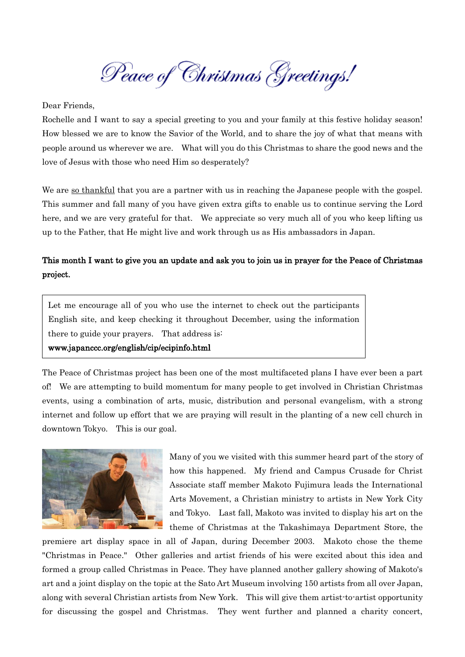Peace of Christmas Greetings!

Dear Friends,

Rochelle and I want to say a special greeting to you and your family at this festive holiday season! How blessed we are to know the Savior of the World, and to share the joy of what that means with people around us wherever we are. What will you do this Christmas to share the good news and the love of Jesus with those who need Him so desperately?

We are so thankful that you are a partner with us in reaching the Japanese people with the gospel. This summer and fall many of you have given extra gifts to enable us to continue serving the Lord here, and we are very grateful for that. We appreciate so very much all of you who keep lifting us up to the Father, that He might live and work through us as His ambassadors in Japan.

## This month I want to give you an update and ask you to join us in prayer for the Peace of Christmas project.

Let me encourage all of you who use the internet to check out the participants English site, and keep checking it throughout December, using the information there to guide your prayers. That address is:

## www.japanccc.org/english/cip/ecipinfo.html

The Peace of Christmas project has been one of the most multifaceted plans I have ever been a part of! We are attempting to build momentum for many people to get involved in Christian Christmas events, using a combination of arts, music, distribution and personal evangelism, with a strong internet and follow up effort that we are praying will result in the planting of a new cell church in downtown Tokyo. This is our goal.



Many of you we visited with this summer heard part of the story of how this happened. My friend and Campus Crusade for Christ Associate staff member Makoto Fujimura leads the International Arts Movement, a Christian ministry to artists in New York City and Tokyo. Last fall, Makoto was invited to display his art on the theme of Christmas at the Takashimaya Department Store, the

premiere art display space in all of Japan, during December 2003. Makoto chose the theme "Christmas in Peace." Other galleries and artist friends of his were excited about this idea and formed a group called Christmas in Peace. They have planned another gallery showing of Makoto's art and a joint display on the topic at the Sato Art Museum involving 150 artists from all over Japan, along with several Christian artists from New York. This will give them artist-to-artist opportunity for discussing the gospel and Christmas. They went further and planned a charity concert,